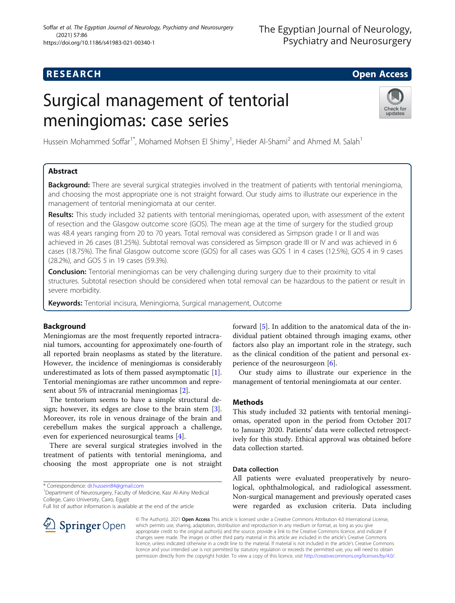# **RESEARCH CHILD CONTROL** CONTROL CONTROL CONTROL CONTROL CONTROL CONTROL CONTROL CONTROL CONTROL CONTROL CONTROL

# Surgical management of tentorial meningiomas: case series



Hussein Mohammed Soffar<sup>1\*</sup>, Mohamed Mohsen El Shimy<sup>1</sup>, Hieder Al-Shami<sup>2</sup> and Ahmed M. Salah<sup>1</sup>

# Abstract

Background: There are several surgical strategies involved in the treatment of patients with tentorial meningioma, and choosing the most appropriate one is not straight forward. Our study aims to illustrate our experience in the management of tentorial meningiomata at our center.

Results: This study included 32 patients with tentorial meningiomas, operated upon, with assessment of the extent of resection and the Glasgow outcome score (GOS). The mean age at the time of surgery for the studied group was 48.4 years ranging from 20 to 70 years. Total removal was considered as Simpson grade I or II and was achieved in 26 cases (81.25%). Subtotal removal was considered as Simpson grade III or IV and was achieved in 6 cases (18.75%). The final Glasgow outcome score (GOS) for all cases was GOS 1 in 4 cases (12.5%), GOS 4 in 9 cases (28.2%), and GOS 5 in 19 cases (59.3%).

**Conclusion:** Tentorial meningiomas can be very challenging during surgery due to their proximity to vital structures. Subtotal resection should be considered when total removal can be hazardous to the patient or result in severe morbidity.

Keywords: Tentorial incisura, Meningioma, Surgical management, Outcome

# Background

Meningiomas are the most frequently reported intracranial tumors, accounting for approximately one-fourth of all reported brain neoplasms as stated by the literature. However, the incidence of meningiomas is considerably underestimated as lots of them passed asymptomatic [\[1](#page-4-0)]. Tentorial meningiomas are rather uncommon and represent about 5% of intracranial meningiomas [\[2](#page-4-0)].

The tentorium seems to have a simple structural design; however, its edges are close to the brain stem [\[3](#page-4-0)]. Moreover, its role in venous drainage of the brain and cerebellum makes the surgical approach a challenge, even for experienced neurosurgical teams [\[4\]](#page-4-0).

There are several surgical strategies involved in the treatment of patients with tentorial meningioma, and choosing the most appropriate one is not straight

\* Correspondence: [dr.hussein84@gmail.com](mailto:dr.hussein84@gmail.com) <sup>1</sup>

<sup>1</sup> Department of Neurosurgery, Faculty of Medicine, Kasr Al-Ainy Medical College, Cairo University, Cairo, Egypt

Full list of author information is available at the end of the article

forward [[5\]](#page-4-0). In addition to the anatomical data of the individual patient obtained through imaging exams, other factors also play an important role in the strategy, such as the clinical condition of the patient and personal experience of the neurosurgeon [\[6](#page-4-0)].

Our study aims to illustrate our experience in the management of tentorial meningiomata at our center.

## **Methods**

This study included 32 patients with tentorial meningiomas, operated upon in the period from October 2017 to January 2020. Patients' data were collected retrospectively for this study. Ethical approval was obtained before data collection started.

# Data collection

All patients were evaluated preoperatively by neurological, ophthalmological, and radiological assessment. Non-surgical management and previously operated cases were regarded as exclusion criteria. Data including

© The Author(s). 2021 Open Access This article is licensed under a Creative Commons Attribution 4.0 International License, which permits use, sharing, adaptation, distribution and reproduction in any medium or format, as long as you give appropriate credit to the original author(s) and the source, provide a link to the Creative Commons licence, and indicate if changes were made. The images or other third party material in this article are included in the article's Creative Commons licence, unless indicated otherwise in a credit line to the material. If material is not included in the article's Creative Commons licence and your intended use is not permitted by statutory regulation or exceeds the permitted use, you will need to obtain permission directly from the copyright holder. To view a copy of this licence, visit <http://creativecommons.org/licenses/by/4.0/>.

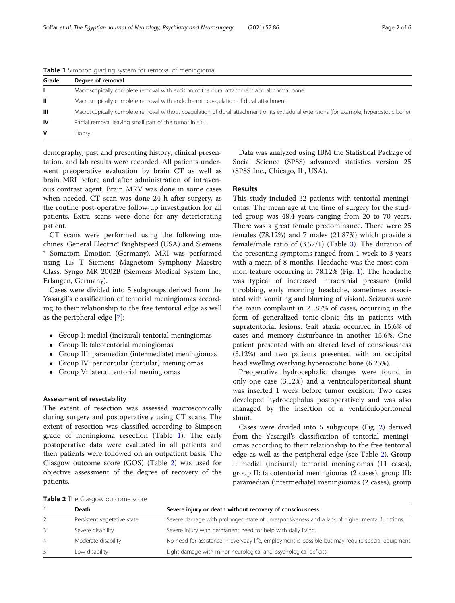| <b>TWING I</b> SHIPSON GROUND SYSTEM FOR TEMPORARY OF MICHINGTOMIC |                                                                                                                                         |  |  |  |
|--------------------------------------------------------------------|-----------------------------------------------------------------------------------------------------------------------------------------|--|--|--|
| Grade                                                              | Degree of removal                                                                                                                       |  |  |  |
|                                                                    | Macroscopically complete removal with excision of the dural attachment and abnormal bone.                                               |  |  |  |
| -II.                                                               | Macroscopically complete removal with endothermic coagulation of dural attachment.                                                      |  |  |  |
| Ш                                                                  | Macroscopically complete removal without coagulation of dural attachment or its extradural extensions (for example, hyperostotic bone). |  |  |  |
| <b>IV</b>                                                          | Partial removal leaving small part of the tumor in situ.                                                                                |  |  |  |
| V                                                                  | Biopsy.                                                                                                                                 |  |  |  |

Table 1 Simpson grading system for removal of meningioma

demography, past and presenting history, clinical presentation, and lab results were recorded. All patients underwent preoperative evaluation by brain CT as well as brain MRI before and after administration of intravenous contrast agent. Brain MRV was done in some cases when needed. CT scan was done 24 h after surgery, as the routine post-operative follow-up investigation for all patients. Extra scans were done for any deteriorating patient.

CT scans were performed using the following machines: General Electric® Brightspeed (USA) and Siemens ® Somatom Emotion (Germany). MRI was performed using 1.5 T Siemens Magnetom Symphony Maestro Class, Syngo MR 2002B (Siemens Medical System Inc., Erlangen, Germany).

Cases were divided into 5 subgroups derived from the Yasargil's classification of tentorial meningiomas according to their relationship to the free tentorial edge as well as the peripheral edge [[7\]](#page-4-0):

- Group I: medial (incisural) tentorial meningiomas
- Group II: falcotentorial meningiomas
- Group III: paramedian (intermediate) meningiomas
- Group IV: peritorcular (torcular) meningiomas
- Group V: lateral tentorial meningiomas

#### Assessment of resectability

The extent of resection was assessed macroscopically during surgery and postoperatively using CT scans. The extent of resection was classified according to Simpson grade of meningioma resection (Table 1). The early postoperative data were evaluated in all patients and then patients were followed on an outpatient basis. The Glasgow outcome score (GOS) (Table 2) was used for objective assessment of the degree of recovery of the patients.

Data was analyzed using IBM the Statistical Package of Social Science (SPSS) advanced statistics version 25 (SPSS Inc., Chicago, IL, USA).

#### Results

This study included 32 patients with tentorial meningiomas. The mean age at the time of surgery for the studied group was 48.4 years ranging from 20 to 70 years. There was a great female predominance. There were 25 females (78.12%) and 7 males (21.87%) which provide a female/male ratio of (3.57/1) (Table [3\)](#page-2-0). The duration of the presenting symptoms ranged from 1 week to 3 years with a mean of 8 months. Headache was the most common feature occurring in 78.12% (Fig. [1\)](#page-2-0). The headache was typical of increased intracranial pressure (mild throbbing, early morning headache, sometimes associated with vomiting and blurring of vision). Seizures were the main complaint in 21.87% of cases, occurring in the form of generalized tonic-clonic fits in patients with supratentorial lesions. Gait ataxia occurred in 15.6% of cases and memory disturbance in another 15.6%. One patient presented with an altered level of consciousness (3.12%) and two patients presented with an occipital head swelling overlying hyperostotic bone (6.25%).

Preoperative hydrocephalic changes were found in only one case (3.12%) and a ventriculoperitoneal shunt was inserted 1 week before tumor excision. Two cases developed hydrocephalus postoperatively and was also managed by the insertion of a ventriculoperitoneal shunt.

Cases were divided into 5 subgroups (Fig. [2](#page-3-0)) derived from the Yasargil's classification of tentorial meningiomas according to their relationship to the free tentorial edge as well as the peripheral edge (see Table 2). Group I: medial (incisural) tentorial meningiomas (11 cases), group II: falcotentorial meningiomas (2 cases), group III: paramedian (intermediate) meningiomas (2 cases), group

Table 2 The Glasgow outcome score

| <b>EXISTER</b> THE GROUP WALLOTTE SCOTE |                             |                                                                                                    |  |  |  |  |  |
|-----------------------------------------|-----------------------------|----------------------------------------------------------------------------------------------------|--|--|--|--|--|
|                                         | Death                       | Severe injury or death without recovery of consciousness.                                          |  |  |  |  |  |
|                                         | Persistent vegetative state | Severe damage with prolonged state of unresponsiveness and a lack of higher mental functions.      |  |  |  |  |  |
| 3                                       | Severe disability           | Severe injury with permanent need for help with daily living.                                      |  |  |  |  |  |
| $\overline{4}$                          | Moderate disability         | No need for assistance in everyday life, employment is possible but may require special equipment. |  |  |  |  |  |
| -5                                      | Low disability              | Light damage with minor neurological and psychological deficits.                                   |  |  |  |  |  |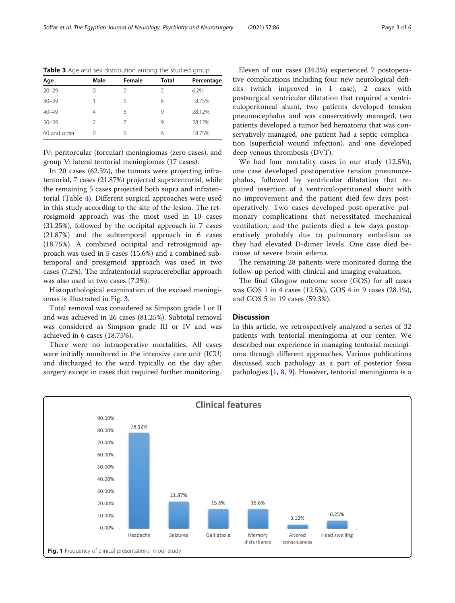| Age          | Male          | Female        | <b>Total</b> | Percentage |
|--------------|---------------|---------------|--------------|------------|
| $20 - 29$    |               | $\mathcal{L}$ | C.           | 6.2%       |
| $30 - 39$    |               | 5             | 6            | 18.75%     |
| $40 - 49$    | 4             | 5             | 9            | 28.12%     |
| $50 - 59$    | $\mathcal{D}$ |               | 9            | 28.12%     |
| 60 and older | ∩             | 6             | 6            | 18.75%     |

<span id="page-2-0"></span>Table 3 Age and sex distribution among the studied group

IV: peritorcular (torcular) meningiomas (zero cases), and group V: lateral tentorial meningiomas (17 cases).

In 20 cases (62.5%), the tumors were projecting infratentorial, 7 cases (21.87%) projected supratentorial, while the remaining 5 cases projected both supra and infratentorial (Table [4](#page-3-0)). Different surgical approaches were used in this study according to the site of the lesion. The retrosigmoid approach was the most used in 10 cases (31.25%), followed by the occipital approach in 7 cases (21.87%) and the subtemporal approach in 6 cases (18.75%). A combined occipital and retrosigmoid approach was used in 5 cases (15.6%) and a combined subtemporal and presigmoid approach was used in two cases (7.2%). The infratentorial supracerebellar approach was also used in two cases (7.2%).

Histopathological examination of the excised meningiomas is illustrated in Fig. [3](#page-4-0).

Total removal was considered as Simpson grade I or II and was achieved in 26 cases (81.25%). Subtotal removal was considered as Simpson grade III or IV and was achieved in 6 cases (18.75%).

There were no intraoperative mortalities. All cases were initially monitored in the intensive care unit (ICU) and discharged to the ward typically on the day after surgery except in cases that required further monitoring.

Eleven of our cases (34.3%) experienced 7 postoperative complications including four new neurological deficits (which improved in 1 case), 2 cases with postsurgical ventricular dilatation that required a ventriculoperitoneal shunt, two patients developed tension pneumocephalus and was conservatively managed, two patients developed a tumor bed hematoma that was conservatively managed, one patient had a septic complication (superficial wound infection), and one developed deep venous thrombosis (DVT).

We had four mortality cases in our study (12.5%), one case developed postoperative tension pneumocephalus, followed by ventricular dilatation that required insertion of a ventriculoperitoneal shunt with no improvement and the patient died few days postoperatively. Two cases developed post-operative pulmonary complications that necessitated mechanical ventilation, and the patients died a few days postoperatively probably due to pulmonary embolism as they had elevated D-dimer levels. One case died because of severe brain edema.

The remaining 28 patients were monitored during the follow-up period with clinical and imaging evaluation.

The final Glasgow outcome score (GOS) for all cases was GOS 1 in 4 cases (12.5%), GOS 4 in 9 cases (28.1%), and GOS 5 in 19 cases (59.3%).

#### **Discussion**

In this article, we retrospectively analyzed a series of 32 patients with tentorial meningioma at our center. We described our experience in managing tentorial meningioma through different approaches. Various publications discussed such pathology as a part of posterior fossa pathologies [\[1](#page-4-0), [8](#page-4-0), [9\]](#page-5-0). However, tentorial meningioma is a

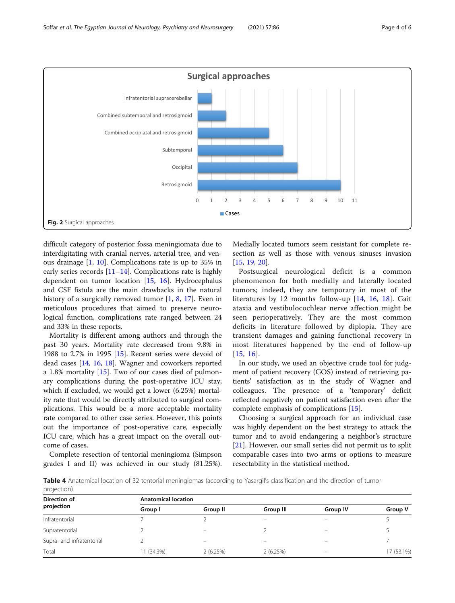<span id="page-3-0"></span>

difficult category of posterior fossa meningiomata due to interdigitating with cranial nerves, arterial tree, and venous drainage [[1,](#page-4-0) [10](#page-5-0)]. Complications rate is up to 35% in early series records  $[11–14]$  $[11–14]$  $[11–14]$ . Complications rate is highly dependent on tumor location [[15,](#page-5-0) [16\]](#page-5-0). Hydrocephalus and CSF fistula are the main drawbacks in the natural history of a surgically removed tumor [[1,](#page-4-0) [8](#page-4-0), [17\]](#page-5-0). Even in meticulous procedures that aimed to preserve neurological function, complications rate ranged between 24 and 33% in these reports.

Mortality is different among authors and through the past 30 years. Mortality rate decreased from 9.8% in 1988 to 2.7% in 1995 [\[15](#page-5-0)]. Recent series were devoid of dead cases [[14,](#page-5-0) [16,](#page-5-0) [18](#page-5-0)]. Wagner and coworkers reported a 1.8% mortality [\[15](#page-5-0)]. Two of our cases died of pulmonary complications during the post-operative ICU stay, which if excluded, we would get a lower (6.25%) mortality rate that would be directly attributed to surgical complications. This would be a more acceptable mortality rate compared to other case series. However, this points out the importance of post-operative care, especially ICU care, which has a great impact on the overall outcome of cases.

Complete resection of tentorial meningioma (Simpson grades I and II) was achieved in our study (81.25%).

projection)

Medially located tumors seem resistant for complete resection as well as those with venous sinuses invasion [[15,](#page-5-0) [19,](#page-5-0) [20\]](#page-5-0).

Postsurgical neurological deficit is a common phenomenon for both medially and laterally located tumors; indeed, they are temporary in most of the literatures by 12 months follow-up [\[14,](#page-5-0) [16,](#page-5-0) [18\]](#page-5-0). Gait ataxia and vestibulocochlear nerve affection might be seen perioperatively. They are the most common deficits in literature followed by diplopia. They are transient damages and gaining functional recovery in most literatures happened by the end of follow-up [[15](#page-5-0), [16\]](#page-5-0).

In our study, we used an objective crude tool for judgment of patient recovery (GOS) instead of retrieving patients' satisfaction as in the study of Wagner and colleagues. The presence of a 'temporary' deficit reflected negatively on patient satisfaction even after the complete emphasis of complications [[15](#page-5-0)].

Choosing a surgical approach for an individual case was highly dependent on the best strategy to attack the tumor and to avoid endangering a neighbor's structure [[21\]](#page-5-0). However, our small series did not permit us to split comparable cases into two arms or options to measure resectability in the statistical method.

Table 4 Anatomical location of 32 tentorial meningiomas (according to Yasargil's classification and the direction of tumor

| Direction of              | <b>Anatomical location</b> |                          |           |                 |            |  |
|---------------------------|----------------------------|--------------------------|-----------|-----------------|------------|--|
| projection                | Group I                    | Group II                 | Group III | <b>Group IV</b> | Group V    |  |
| Infratentorial            |                            |                          | –         | $\equiv$        |            |  |
| Supratentorial            |                            | $\overline{\phantom{0}}$ |           | —               |            |  |
| Supra- and infratentorial |                            |                          |           |                 |            |  |
| Total                     | 11 (34.3%)                 | 2(6.25%)                 | 2(6.25%)  | -               | 17 (53.1%) |  |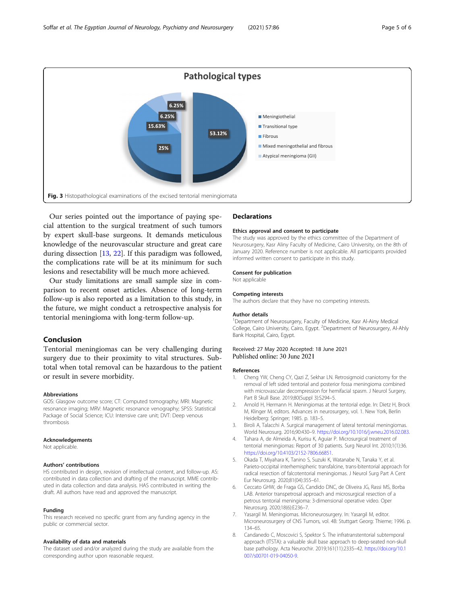<span id="page-4-0"></span>

Our series pointed out the importance of paying special attention to the surgical treatment of such tumors by expert skull-base surgeons. It demands meticulous knowledge of the neurovascular structure and great care during dissection [\[13](#page-5-0), [22](#page-5-0)]. If this paradigm was followed, the complications rate will be at its minimum for such lesions and resectability will be much more achieved.

Our study limitations are small sample size in comparison to recent onset articles. Absence of long-term follow-up is also reported as a limitation to this study, in the future, we might conduct a retrospective analysis for tentorial meningioma with long-term follow-up.

### Conclusion

Tentorial meningiomas can be very challenging during surgery due to their proximity to vital structures. Subtotal when total removal can be hazardous to the patient or result in severe morbidity.

#### Abbreviations

GOS: Glasgow outcome score; CT: Computed tomography; MRI: Magnetic resonance imaging; MRV: Magnetic resonance venography; SPSS: Statistical Package of Social Science; ICU: Intensive care unit; DVT: Deep venous thrombosis

#### Acknowledgements

Not applicable

#### Authors' contributions

HS contributed in design, revision of intellectual content, and follow-up. AS: contributed in data collection and drafting of the manuscript. MME contributed in data collection and data analysis. HAS contributed in writing the draft. All authors have read and approved the manuscript.

#### Funding

This research received no specific grant from any funding agency in the public or commercial sector.

#### Availability of data and materials

The dataset used and/or analyzed during the study are available from the corresponding author upon reasonable request.

#### **Declarations**

#### Ethics approval and consent to participate

The study was approved by the ethics committee of the Department of Neurosurgery, Kasr Aliny Faculty of Medicine, Cairo University, on the 8th of January 2020. Reference number is not applicable. All participants provided informed written consent to participate in this study.

#### Consent for publication

Not applicable

#### Competing interests

The authors declare that they have no competing interests.

#### Author details

<sup>1</sup>Department of Neurosurgery, Faculty of Medicine, Kasr Al-Ainy Medical College, Cairo University, Cairo, Egypt. <sup>2</sup>Department of Neurosurgery, Al-Ahly Bank Hospital, Cairo, Egypt.

#### Received: 27 May 2020 Accepted: 18 June 2021 Published online: 30 June 2021

#### References

- 1. Cheng YW, Cheng CY, Qazi Z, Sekhar LN. Retrosigmoid craniotomy for the removal of left sided tentorial and posterior fossa meningioma combined with microvascular decompression for hemifacial spasm. J Neurol Surgery, Part B Skull Base. 2019;80(Suppl 3):S294–5.
- 2. Arnold H, Hermann H. Meningiomas at the tentorial edge. In: Dietz H, Brock M, Klinger M, editors. Advances in neurosurgery, vol. 1. New York, Berlin Heidelberg: Springer; 1985. p. 183–5.
- 3. Biroli A, Talacchi A. Surgical management of lateral tentorial meningiomas. World Neurosurg. 2016;90:430–9. [https://doi.org/10.1016/j.wneu.2016.02.083.](https://doi.org/10.1016/j.wneu.2016.02.083)
- 4. Tahara A, de Almeida A, Kurisu K, Aguiar P. Microsurgical treatment of tentorial meningiomas: Report of 30 patients. Surg Neurol Int. 2010;1(1):36. [https://doi.org/10.4103/2152-7806.66851.](https://doi.org/10.4103/2152-7806.66851)
- 5. Okada T, Miyahara K, Tanino S, Suzuki K, Watanabe N, Tanaka Y, et al. Parieto-occipital interhemispheric transfalcine, trans-bitentorial approach for radical resection of falcotentorial meningiomas. J Neurol Surg Part A Cent Eur Neurosurg. 2020;81(04):355–61.
- 6. Ceccato GHW, de Fraga GS, Candido DNC, de Oliveira JG, Rassi MS, Borba LAB. Anterior transpetrosal approach and microsurgical resection of a petrous tentorial meningioma: 3-dimensional operative video. Oper Neurosurg. 2020;18(6):E236–7.
- 7. Yasargil M. Meningiomas. Microneurosurgery. In: Yasargil M, editor. Microneurosurgery of CNS Tumors, vol. 4B: Stuttgart Georg: Thieme; 1996. p. 134–65.
- 8. Candanedo C, Moscovici S, Spektor S. The infratranstentorial subtemporal approach (ITSTA): a valuable skull base approach to deep-seated non-skull base pathology. Acta Neurochir. 2019;161(11):2335–42. [https://doi.org/10.1](https://doi.org/10.1007/s00701-019-04050-9) [007/s00701-019-04050-9](https://doi.org/10.1007/s00701-019-04050-9).